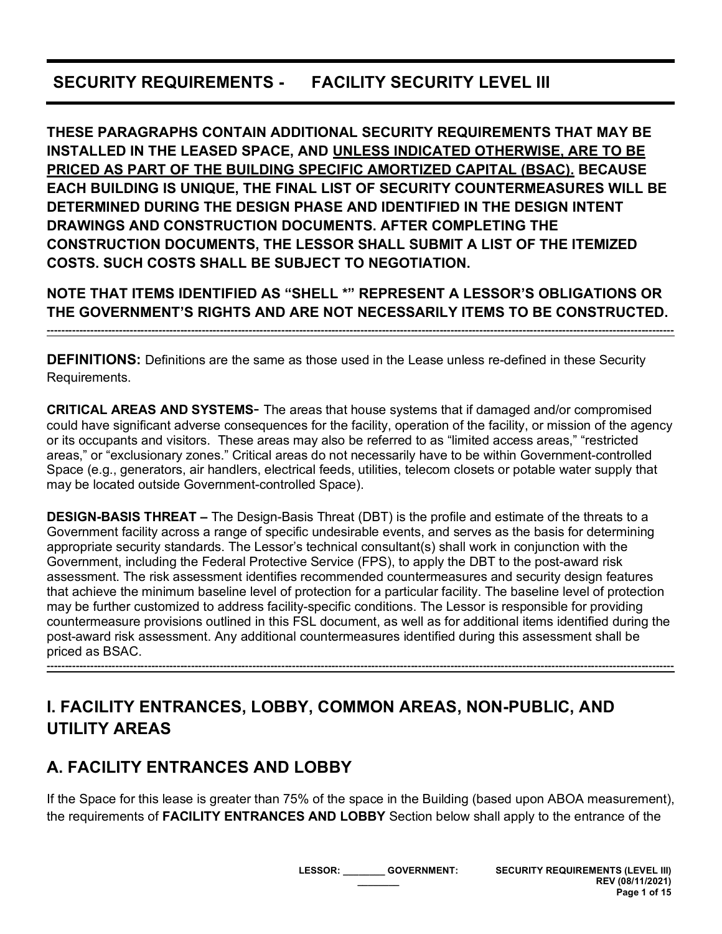# **SECURITY REQUIREMENTS - FACILITY SECURITY LEVEL III**

**THESE PARAGRAPHS CONTAIN ADDITIONAL SECURITY REQUIREMENTS THAT MAY BE INSTALLED IN THE LEASED SPACE, AND UNLESS INDICATED OTHERWISE, ARE TO BE PRICED AS PART OF THE BUILDING SPECIFIC AMORTIZED CAPITAL (BSAC). BECAUSE EACH BUILDING IS UNIQUE, THE FINAL LIST OF SECURITY COUNTERMEASURES WILL BE DETERMINED DURING THE DESIGN PHASE AND IDENTIFIED IN THE DESIGN INTENT DRAWINGS AND CONSTRUCTION DOCUMENTS. AFTER COMPLETING THE CONSTRUCTION DOCUMENTS, THE LESSOR SHALL SUBMIT A LIST OF THE ITEMIZED COSTS. SUCH COSTS SHALL BE SUBJECT TO NEGOTIATION.** 

**NOTE THAT ITEMS IDENTIFIED AS "SHELL \*" REPRESENT A LESSOR'S OBLIGATIONS OR THE GOVERNMENT'S RIGHTS AND ARE NOT NECESSARILY ITEMS TO BE CONSTRUCTED.**

**------------------------------------------------------------------------------------------------------------------------------------------------------------------------------**

**DEFINITIONS:** Definitions are the same as those used in the Lease unless re-defined in these Security Requirements.

**CRITICAL AREAS AND SYSTEMS**- The areas that house systems that if damaged and/or compromised could have significant adverse consequences for the facility, operation of the facility, or mission of the agency or its occupants and visitors. These areas may also be referred to as "limited access areas," "restricted areas," or "exclusionary zones." Critical areas do not necessarily have to be within Government-controlled Space (e.g., generators, air handlers, electrical feeds, utilities, telecom closets or potable water supply that may be located outside Government-controlled Space).

**DESIGN-BASIS THREAT –** The Design-Basis Threat (DBT) is the profile and estimate of the threats to a Government facility across a range of specific undesirable events, and serves as the basis for determining appropriate security standards. The Lessor's technical consultant(s) shall work in conjunction with the Government, including the Federal Protective Service (FPS), to apply the DBT to the post-award risk assessment. The risk assessment identifies recommended countermeasures and security design features that achieve the minimum baseline level of protection for a particular facility. The baseline level of protection may be further customized to address facility-specific conditions. The Lessor is responsible for providing countermeasure provisions outlined in this FSL document, as well as for additional items identified during the post-award risk assessment. Any additional countermeasures identified during this assessment shall be priced as BSAC.

**------------------------------------------------------------------------------------------------------------------------------------------------------------------------------**

# **I. FACILITY ENTRANCES, LOBBY, COMMON AREAS, NON-PUBLIC, AND UTILITY AREAS**

# **A. FACILITY ENTRANCES AND LOBBY**

If the Space for this lease is greater than 75% of the space in the Building (based upon ABOA measurement), the requirements of **FACILITY ENTRANCES AND LOBBY** Section below shall apply to the entrance of the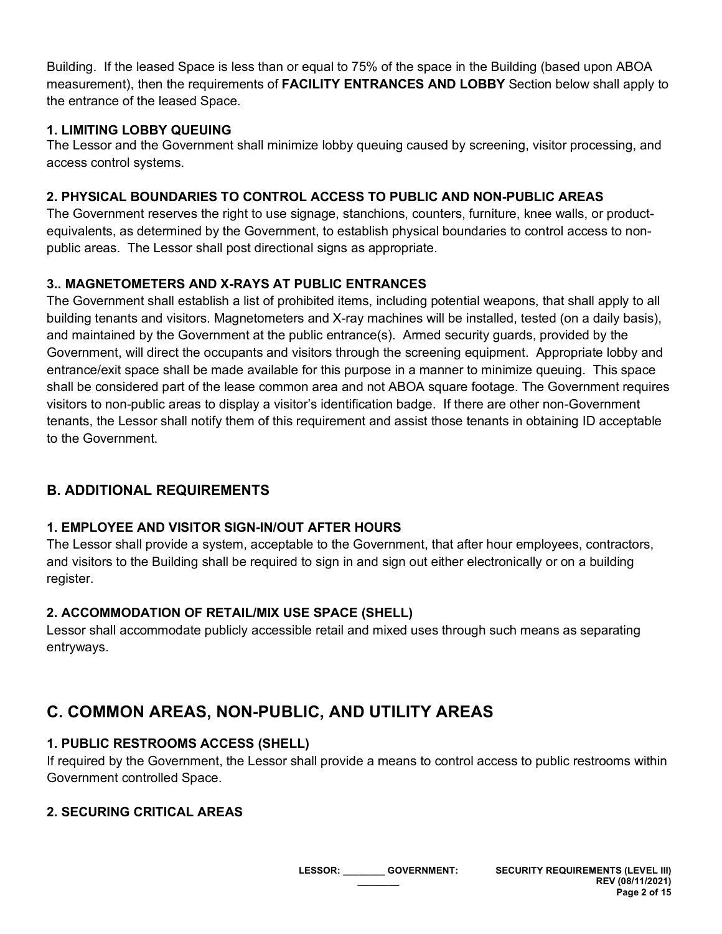Building. If the leased Space is less than or equal to 75% of the space in the Building (based upon ABOA measurement), then the requirements of **FACILITY ENTRANCES AND LOBBY** Section below shall apply to the entrance of the leased Space.

### **1. LIMITING LOBBY QUEUING**

The Lessor and the Government shall minimize lobby queuing caused by screening, visitor processing, and access control systems.

## **2. PHYSICAL BOUNDARIES TO CONTROL ACCESS TO PUBLIC AND NON-PUBLIC AREAS**

The Government reserves the right to use signage, stanchions, counters, furniture, knee walls, or productequivalents, as determined by the Government, to establish physical boundaries to control access to nonpublic areas. The Lessor shall post directional signs as appropriate.

## **3.. MAGNETOMETERS AND X-RAYS AT PUBLIC ENTRANCES**

The Government shall establish a list of prohibited items, including potential weapons, that shall apply to all building tenants and visitors. Magnetometers and X-ray machines will be installed, tested (on a daily basis), and maintained by the Government at the public entrance(s). Armed security guards, provided by the Government, will direct the occupants and visitors through the screening equipment. Appropriate lobby and entrance/exit space shall be made available for this purpose in a manner to minimize queuing. This space shall be considered part of the lease common area and not ABOA square footage. The Government requires visitors to non-public areas to display a visitor's identification badge. If there are other non-Government tenants, the Lessor shall notify them of this requirement and assist those tenants in obtaining ID acceptable to the Government.

# **B. ADDITIONAL REQUIREMENTS**

## **1. EMPLOYEE AND VISITOR SIGN-IN/OUT AFTER HOURS**

The Lessor shall provide a system, acceptable to the Government, that after hour employees, contractors, and visitors to the Building shall be required to sign in and sign out either electronically or on a building register.

## **2. ACCOMMODATION OF RETAIL/MIX USE SPACE (SHELL)**

Lessor shall accommodate publicly accessible retail and mixed uses through such means as separating entryways.

# **C. COMMON AREAS, NON-PUBLIC, AND UTILITY AREAS**

## **1. PUBLIC RESTROOMS ACCESS (SHELL)**

If required by the Government, the Lessor shall provide a means to control access to public restrooms within Government controlled Space.

## **2. SECURING CRITICAL AREAS**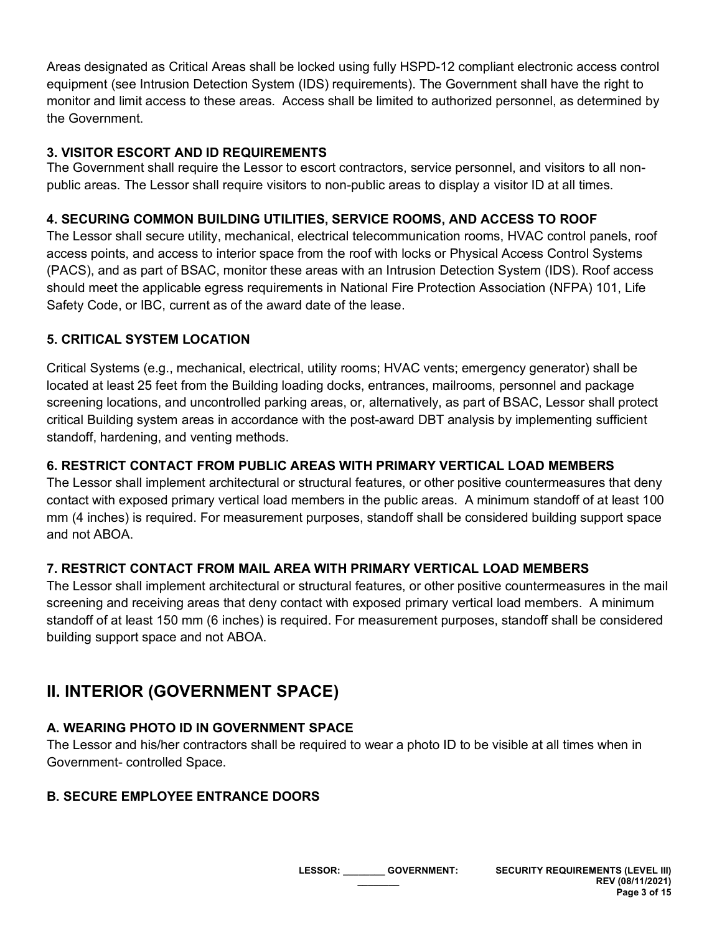Areas designated as Critical Areas shall be locked using fully HSPD-12 compliant electronic access control equipment (see Intrusion Detection System (IDS) requirements). The Government shall have the right to monitor and limit access to these areas. Access shall be limited to authorized personnel, as determined by the Government.

### **3. VISITOR ESCORT AND ID REQUIREMENTS**

The Government shall require the Lessor to escort contractors, service personnel, and visitors to all nonpublic areas. The Lessor shall require visitors to non-public areas to display a visitor ID at all times.

#### **4. SECURING COMMON BUILDING UTILITIES, SERVICE ROOMS, AND ACCESS TO ROOF**

The Lessor shall secure utility, mechanical, electrical telecommunication rooms, HVAC control panels, roof access points, and access to interior space from the roof with locks or Physical Access Control Systems (PACS), and as part of BSAC, monitor these areas with an Intrusion Detection System (IDS). Roof access should meet the applicable egress requirements in National Fire Protection Association (NFPA) 101, Life Safety Code, or IBC, current as of the award date of the lease.

#### **5. CRITICAL SYSTEM LOCATION**

Critical Systems (e.g., mechanical, electrical, utility rooms; HVAC vents; emergency generator) shall be located at least 25 feet from the Building loading docks, entrances, mailrooms, personnel and package screening locations, and uncontrolled parking areas, or, alternatively, as part of BSAC, Lessor shall protect critical Building system areas in accordance with the post-award DBT analysis by implementing sufficient standoff, hardening, and venting methods.

#### **6. RESTRICT CONTACT FROM PUBLIC AREAS WITH PRIMARY VERTICAL LOAD MEMBERS**

The Lessor shall implement architectural or structural features, or other positive countermeasures that deny contact with exposed primary vertical load members in the public areas. A minimum standoff of at least 100 mm (4 inches) is required. For measurement purposes, standoff shall be considered building support space and not ABOA.

### **7. RESTRICT CONTACT FROM MAIL AREA WITH PRIMARY VERTICAL LOAD MEMBERS**

The Lessor shall implement architectural or structural features, or other positive countermeasures in the mail screening and receiving areas that deny contact with exposed primary vertical load members. A minimum standoff of at least 150 mm (6 inches) is required. For measurement purposes, standoff shall be considered building support space and not ABOA.

# **II. INTERIOR (GOVERNMENT SPACE)**

# **A. WEARING PHOTO ID IN GOVERNMENT SPACE**

The Lessor and his/her contractors shall be required to wear a photo ID to be visible at all times when in Government- controlled Space.

# **B. SECURE EMPLOYEE ENTRANCE DOORS**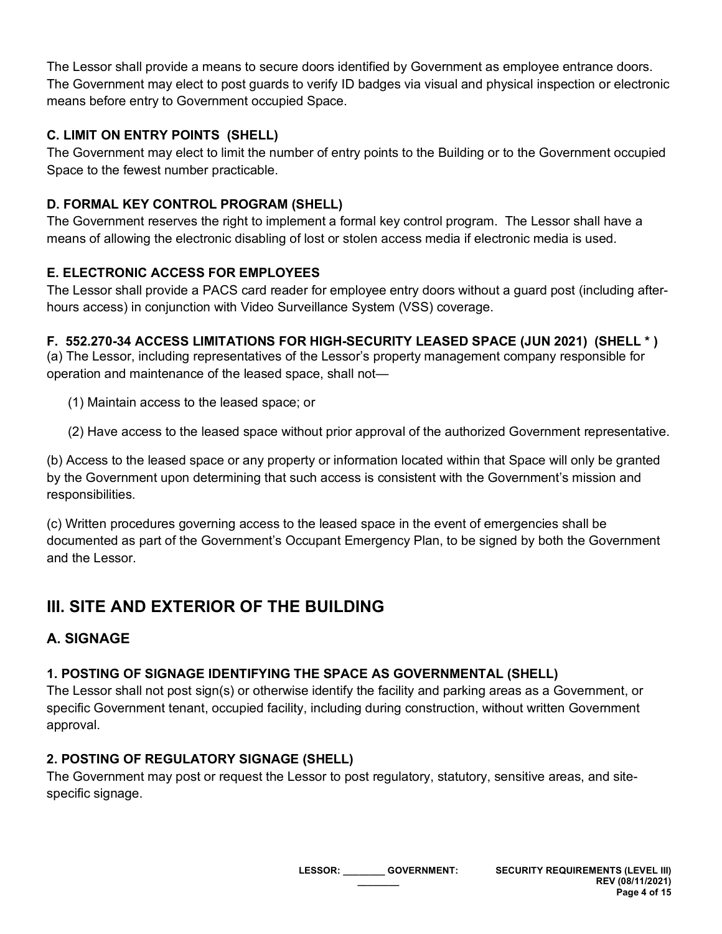The Lessor shall provide a means to secure doors identified by Government as employee entrance doors. The Government may elect to post guards to verify ID badges via visual and physical inspection or electronic means before entry to Government occupied Space.

## **C. LIMIT ON ENTRY POINTS (SHELL)**

The Government may elect to limit the number of entry points to the Building or to the Government occupied Space to the fewest number practicable.

## **D. FORMAL KEY CONTROL PROGRAM (SHELL)**

The Government reserves the right to implement a formal key control program. The Lessor shall have a means of allowing the electronic disabling of lost or stolen access media if electronic media is used.

## **E. ELECTRONIC ACCESS FOR EMPLOYEES**

The Lessor shall provide a PACS card reader for employee entry doors without a guard post (including afterhours access) in conjunction with Video Surveillance System (VSS) coverage.

## **F. 552.270-34 ACCESS LIMITATIONS FOR HIGH-SECURITY LEASED SPACE (JUN 2021) (SHELL \* )**

(a) The Lessor, including representatives of the Lessor's property management company responsible for operation and maintenance of the leased space, shall not—

(1) Maintain access to the leased space; or

(2) Have access to the leased space without prior approval of the authorized Government representative.

(b) Access to the leased space or any property or information located within that Space will only be granted by the Government upon determining that such access is consistent with the Government's mission and responsibilities.

(c) Written procedures governing access to the leased space in the event of emergencies shall be documented as part of the Government's Occupant Emergency Plan, to be signed by both the Government and the Lessor.

# **III. SITE AND EXTERIOR OF THE BUILDING**

# **A. SIGNAGE**

### **1. POSTING OF SIGNAGE IDENTIFYING THE SPACE AS GOVERNMENTAL (SHELL)**

The Lessor shall not post sign(s) or otherwise identify the facility and parking areas as a Government, or specific Government tenant, occupied facility, including during construction, without written Government approval.

### **2. POSTING OF REGULATORY SIGNAGE (SHELL)**

The Government may post or request the Lessor to post regulatory, statutory, sensitive areas, and sitespecific signage.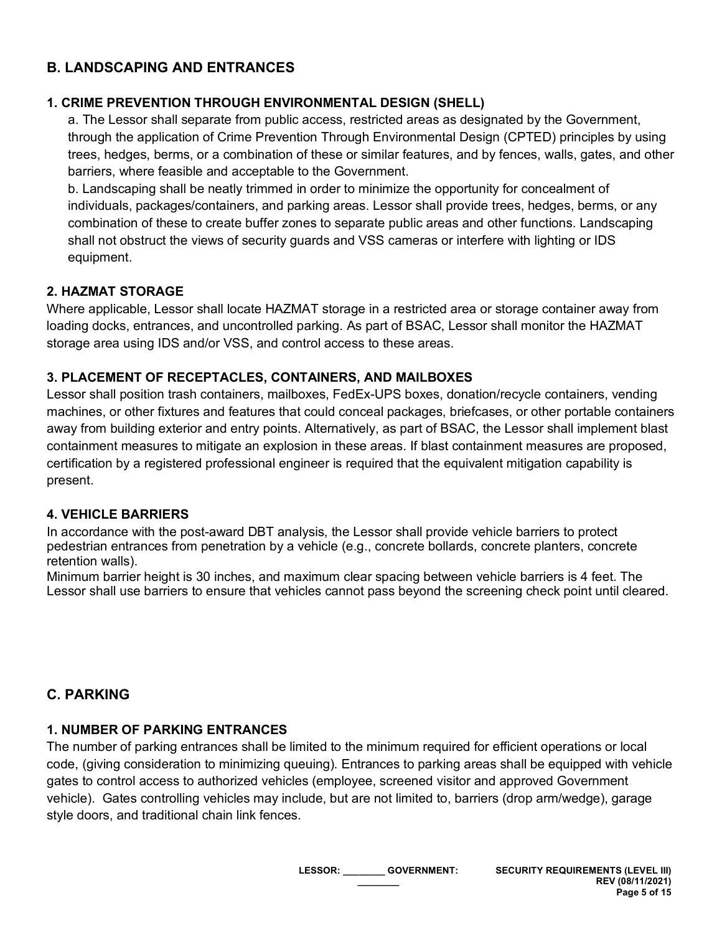# **B. LANDSCAPING AND ENTRANCES**

### **1. CRIME PREVENTION THROUGH ENVIRONMENTAL DESIGN (SHELL)**

a. The Lessor shall separate from public access, restricted areas as designated by the Government, through the application of Crime Prevention Through Environmental Design (CPTED) principles by using trees, hedges, berms, or a combination of these or similar features, and by fences, walls, gates, and other barriers, where feasible and acceptable to the Government.

b. Landscaping shall be neatly trimmed in order to minimize the opportunity for concealment of individuals, packages/containers, and parking areas. Lessor shall provide trees, hedges, berms, or any combination of these to create buffer zones to separate public areas and other functions. Landscaping shall not obstruct the views of security guards and VSS cameras or interfere with lighting or IDS equipment.

#### **2. HAZMAT STORAGE**

Where applicable, Lessor shall locate HAZMAT storage in a restricted area or storage container away from loading docks, entrances, and uncontrolled parking. As part of BSAC, Lessor shall monitor the HAZMAT storage area using IDS and/or VSS, and control access to these areas.

#### **3. PLACEMENT OF RECEPTACLES, CONTAINERS, AND MAILBOXES**

Lessor shall position trash containers, mailboxes, FedEx-UPS boxes, donation/recycle containers, vending machines, or other fixtures and features that could conceal packages, briefcases, or other portable containers away from building exterior and entry points. Alternatively, as part of BSAC, the Lessor shall implement blast containment measures to mitigate an explosion in these areas. If blast containment measures are proposed, certification by a registered professional engineer is required that the equivalent mitigation capability is present.

### **4. VEHICLE BARRIERS**

In accordance with the post-award DBT analysis, the Lessor shall provide vehicle barriers to protect pedestrian entrances from penetration by a vehicle (e.g., concrete bollards, concrete planters, concrete retention walls).

Minimum barrier height is 30 inches, and maximum clear spacing between vehicle barriers is 4 feet. The Lessor shall use barriers to ensure that vehicles cannot pass beyond the screening check point until cleared.

## **C. PARKING**

### **1. NUMBER OF PARKING ENTRANCES**

The number of parking entrances shall be limited to the minimum required for efficient operations or local code, (giving consideration to minimizing queuing). Entrances to parking areas shall be equipped with vehicle gates to control access to authorized vehicles (employee, screened visitor and approved Government vehicle). Gates controlling vehicles may include, but are not limited to, barriers (drop arm/wedge), garage style doors, and traditional chain link fences.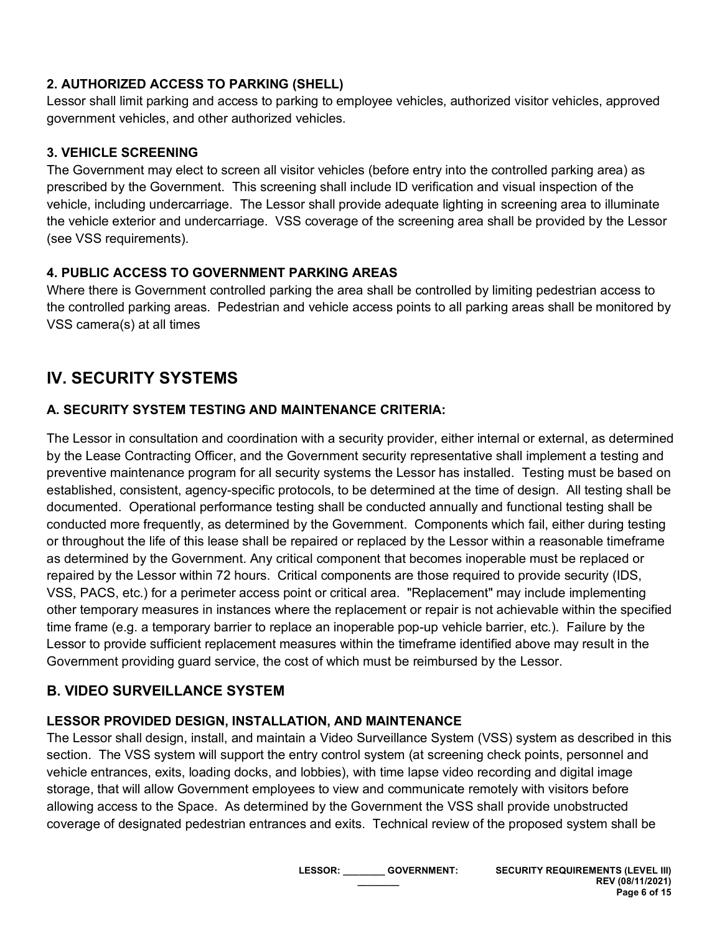## **2. AUTHORIZED ACCESS TO PARKING (SHELL)**

Lessor shall limit parking and access to parking to employee vehicles, authorized visitor vehicles, approved government vehicles, and other authorized vehicles.

#### **3. VEHICLE SCREENING**

The Government may elect to screen all visitor vehicles (before entry into the controlled parking area) as prescribed by the Government. This screening shall include ID verification and visual inspection of the vehicle, including undercarriage. The Lessor shall provide adequate lighting in screening area to illuminate the vehicle exterior and undercarriage. VSS coverage of the screening area shall be provided by the Lessor (see VSS requirements).

### **4. PUBLIC ACCESS TO GOVERNMENT PARKING AREAS**

Where there is Government controlled parking the area shall be controlled by limiting pedestrian access to the controlled parking areas. Pedestrian and vehicle access points to all parking areas shall be monitored by VSS camera(s) at all times

# **IV. SECURITY SYSTEMS**

### **A. SECURITY SYSTEM TESTING AND MAINTENANCE CRITERIA:**

The Lessor in consultation and coordination with a security provider, either internal or external, as determined by the Lease Contracting Officer, and the Government security representative shall implement a testing and preventive maintenance program for all security systems the Lessor has installed. Testing must be based on established, consistent, agency-specific protocols, to be determined at the time of design. All testing shall be documented. Operational performance testing shall be conducted annually and functional testing shall be conducted more frequently, as determined by the Government. Components which fail, either during testing or throughout the life of this lease shall be repaired or replaced by the Lessor within a reasonable timeframe as determined by the Government. Any critical component that becomes inoperable must be replaced or repaired by the Lessor within 72 hours. Critical components are those required to provide security (IDS, VSS, PACS, etc.) for a perimeter access point or critical area. "Replacement" may include implementing other temporary measures in instances where the replacement or repair is not achievable within the specified time frame (e.g. a temporary barrier to replace an inoperable pop-up vehicle barrier, etc.). Failure by the Lessor to provide sufficient replacement measures within the timeframe identified above may result in the Government providing guard service, the cost of which must be reimbursed by the Lessor.

## **B. VIDEO SURVEILLANCE SYSTEM**

### **LESSOR PROVIDED DESIGN, INSTALLATION, AND MAINTENANCE**

The Lessor shall design, install, and maintain a Video Surveillance System (VSS) system as described in this section. The VSS system will support the entry control system (at screening check points, personnel and vehicle entrances, exits, loading docks, and lobbies), with time lapse video recording and digital image storage, that will allow Government employees to view and communicate remotely with visitors before allowing access to the Space. As determined by the Government the VSS shall provide unobstructed coverage of designated pedestrian entrances and exits. Technical review of the proposed system shall be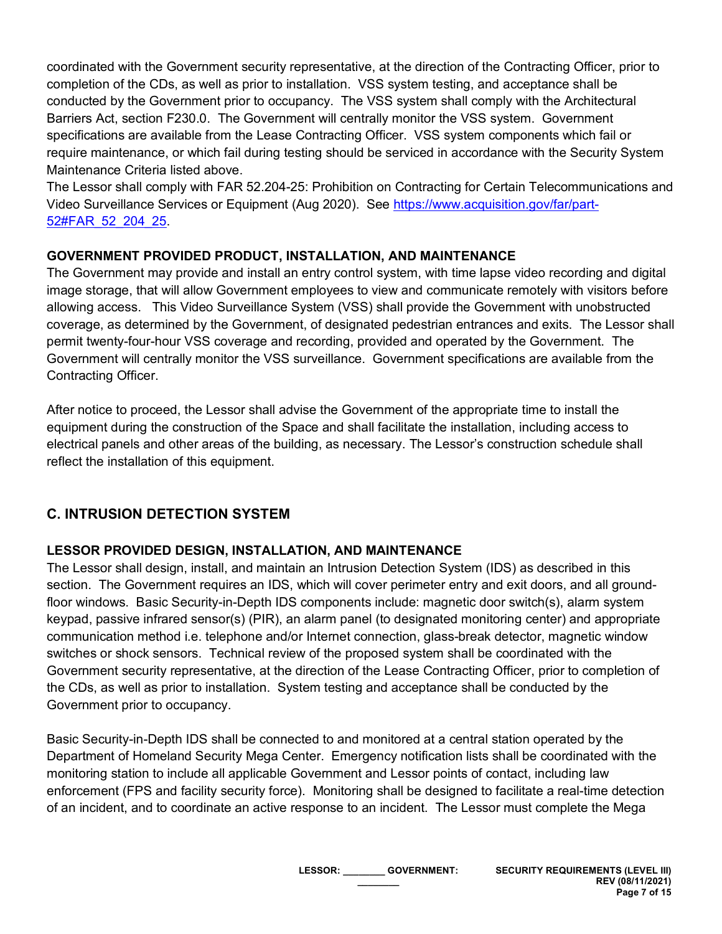coordinated with the Government security representative, at the direction of the Contracting Officer, prior to completion of the CDs, as well as prior to installation. VSS system testing, and acceptance shall be conducted by the Government prior to occupancy. The VSS system shall comply with the Architectural Barriers Act, section F230.0. The Government will centrally monitor the VSS system. Government specifications are available from the Lease Contracting Officer. VSS system components which fail or require maintenance, or which fail during testing should be serviced in accordance with the Security System Maintenance Criteria listed above.

The Lessor shall comply with FAR 52.204-25: Prohibition on Contracting for Certain Telecommunications and Video Surveillance Services or Equipment (Aug 2020). See [https://www.acquisition.gov/far/part-](https://www.acquisition.gov/far/part-52#FAR_52_204_25)[52#FAR\\_52\\_204\\_25.](https://www.acquisition.gov/far/part-52#FAR_52_204_25)

### **GOVERNMENT PROVIDED PRODUCT, INSTALLATION, AND MAINTENANCE**

The Government may provide and install an entry control system, with time lapse video recording and digital image storage, that will allow Government employees to view and communicate remotely with visitors before allowing access. This Video Surveillance System (VSS) shall provide the Government with unobstructed coverage, as determined by the Government, of designated pedestrian entrances and exits. The Lessor shall permit twenty-four-hour VSS coverage and recording, provided and operated by the Government. The Government will centrally monitor the VSS surveillance. Government specifications are available from the Contracting Officer.

After notice to proceed, the Lessor shall advise the Government of the appropriate time to install the equipment during the construction of the Space and shall facilitate the installation, including access to electrical panels and other areas of the building, as necessary. The Lessor's construction schedule shall reflect the installation of this equipment.

# **C. INTRUSION DETECTION SYSTEM**

## **LESSOR PROVIDED DESIGN, INSTALLATION, AND MAINTENANCE**

The Lessor shall design, install, and maintain an Intrusion Detection System (IDS) as described in this section. The Government requires an IDS, which will cover perimeter entry and exit doors, and all groundfloor windows. Basic Security-in-Depth IDS components include: magnetic door switch(s), alarm system keypad, passive infrared sensor(s) (PIR), an alarm panel (to designated monitoring center) and appropriate communication method i.e. telephone and/or Internet connection, glass-break detector, magnetic window switches or shock sensors. Technical review of the proposed system shall be coordinated with the Government security representative, at the direction of the Lease Contracting Officer, prior to completion of the CDs, as well as prior to installation. System testing and acceptance shall be conducted by the Government prior to occupancy.

Basic Security-in-Depth IDS shall be connected to and monitored at a central station operated by the Department of Homeland Security Mega Center. Emergency notification lists shall be coordinated with the monitoring station to include all applicable Government and Lessor points of contact, including law enforcement (FPS and facility security force). Monitoring shall be designed to facilitate a real-time detection of an incident, and to coordinate an active response to an incident. The Lessor must complete the Mega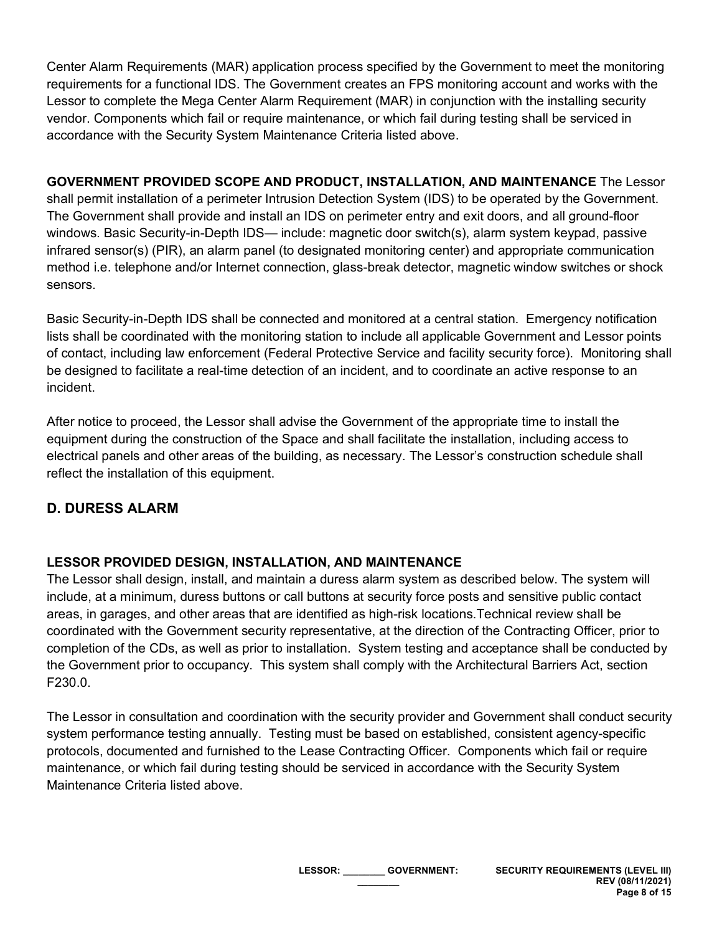Center Alarm Requirements (MAR) application process specified by the Government to meet the monitoring requirements for a functional IDS. The Government creates an FPS monitoring account and works with the Lessor to complete the Mega Center Alarm Requirement (MAR) in conjunction with the installing security vendor. Components which fail or require maintenance, or which fail during testing shall be serviced in accordance with the Security System Maintenance Criteria listed above.

**GOVERNMENT PROVIDED SCOPE AND PRODUCT, INSTALLATION, AND MAINTENANCE** The Lessor shall permit installation of a perimeter Intrusion Detection System (IDS) to be operated by the Government. The Government shall provide and install an IDS on perimeter entry and exit doors, and all ground-floor windows. Basic Security-in-Depth IDS— include: magnetic door switch(s), alarm system keypad, passive infrared sensor(s) (PIR), an alarm panel (to designated monitoring center) and appropriate communication method i.e. telephone and/or Internet connection, glass-break detector, magnetic window switches or shock sensors.

Basic Security-in-Depth IDS shall be connected and monitored at a central station. Emergency notification lists shall be coordinated with the monitoring station to include all applicable Government and Lessor points of contact, including law enforcement (Federal Protective Service and facility security force). Monitoring shall be designed to facilitate a real-time detection of an incident, and to coordinate an active response to an incident.

After notice to proceed, the Lessor shall advise the Government of the appropriate time to install the equipment during the construction of the Space and shall facilitate the installation, including access to electrical panels and other areas of the building, as necessary. The Lessor's construction schedule shall reflect the installation of this equipment.

# **D. DURESS ALARM**

### **LESSOR PROVIDED DESIGN, INSTALLATION, AND MAINTENANCE**

The Lessor shall design, install, and maintain a duress alarm system as described below. The system will include, at a minimum, duress buttons or call buttons at security force posts and sensitive public contact areas, in garages, and other areas that are identified as high-risk locations.Technical review shall be coordinated with the Government security representative, at the direction of the Contracting Officer, prior to completion of the CDs, as well as prior to installation. System testing and acceptance shall be conducted by the Government prior to occupancy. This system shall comply with the Architectural Barriers Act, section F230.0.

The Lessor in consultation and coordination with the security provider and Government shall conduct security system performance testing annually. Testing must be based on established, consistent agency-specific protocols, documented and furnished to the Lease Contracting Officer. Components which fail or require maintenance, or which fail during testing should be serviced in accordance with the Security System Maintenance Criteria listed above.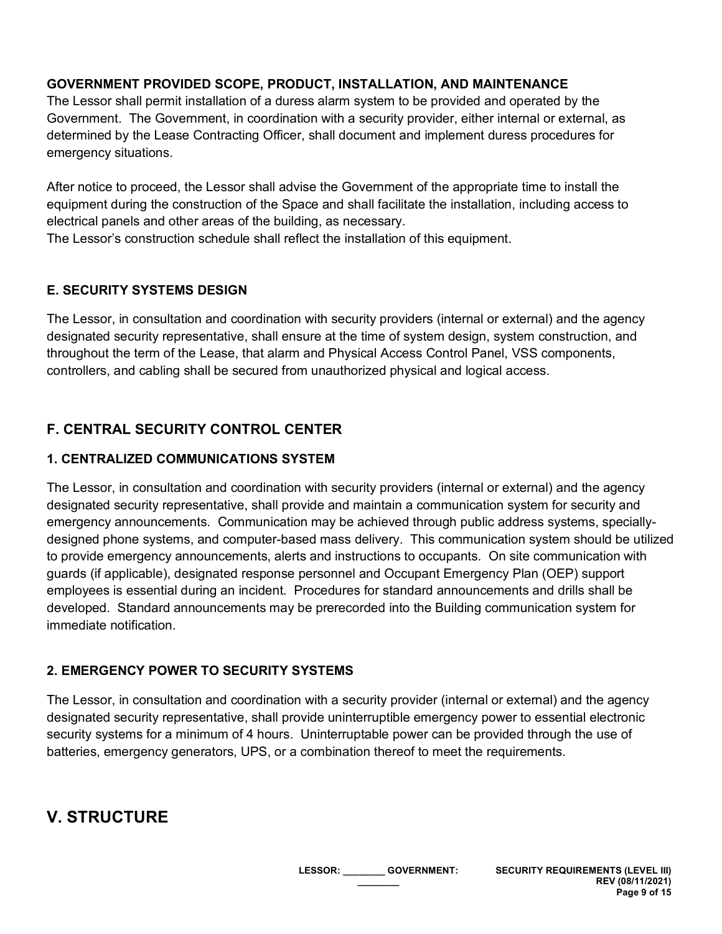## **GOVERNMENT PROVIDED SCOPE, PRODUCT, INSTALLATION, AND MAINTENANCE**

The Lessor shall permit installation of a duress alarm system to be provided and operated by the Government. The Government, in coordination with a security provider, either internal or external, as determined by the Lease Contracting Officer, shall document and implement duress procedures for emergency situations.

After notice to proceed, the Lessor shall advise the Government of the appropriate time to install the equipment during the construction of the Space and shall facilitate the installation, including access to electrical panels and other areas of the building, as necessary.

The Lessor's construction schedule shall reflect the installation of this equipment.

### **E. SECURITY SYSTEMS DESIGN**

The Lessor, in consultation and coordination with security providers (internal or external) and the agency designated security representative, shall ensure at the time of system design, system construction, and throughout the term of the Lease, that alarm and Physical Access Control Panel, VSS components, controllers, and cabling shall be secured from unauthorized physical and logical access.

## **F. CENTRAL SECURITY CONTROL CENTER**

### **1. CENTRALIZED COMMUNICATIONS SYSTEM**

The Lessor, in consultation and coordination with security providers (internal or external) and the agency designated security representative, shall provide and maintain a communication system for security and emergency announcements. Communication may be achieved through public address systems, speciallydesigned phone systems, and computer-based mass delivery. This communication system should be utilized to provide emergency announcements, alerts and instructions to occupants. On site communication with guards (if applicable), designated response personnel and Occupant Emergency Plan (OEP) support employees is essential during an incident. Procedures for standard announcements and drills shall be developed. Standard announcements may be prerecorded into the Building communication system for immediate notification.

### **2. EMERGENCY POWER TO SECURITY SYSTEMS**

The Lessor, in consultation and coordination with a security provider (internal or external) and the agency designated security representative, shall provide uninterruptible emergency power to essential electronic security systems for a minimum of 4 hours. Uninterruptable power can be provided through the use of batteries, emergency generators, UPS, or a combination thereof to meet the requirements.

# **V. STRUCTURE**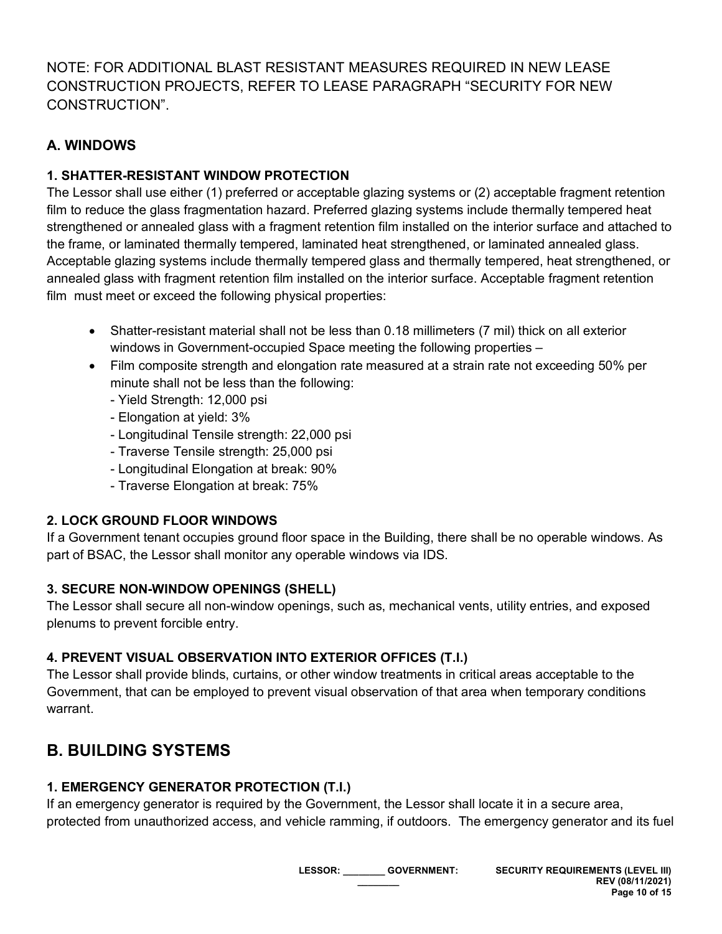NOTE: FOR ADDITIONAL BLAST RESISTANT MEASURES REQUIRED IN NEW LEASE CONSTRUCTION PROJECTS, REFER TO LEASE PARAGRAPH "SECURITY FOR NEW CONSTRUCTION".

# **A. WINDOWS**

## **1. SHATTER-RESISTANT WINDOW PROTECTION**

The Lessor shall use either (1) preferred or acceptable glazing systems or (2) acceptable fragment retention film to reduce the glass fragmentation hazard. Preferred glazing systems include thermally tempered heat strengthened or annealed glass with a fragment retention film installed on the interior surface and attached to the frame, or laminated thermally tempered, laminated heat strengthened, or laminated annealed glass. Acceptable glazing systems include thermally tempered glass and thermally tempered, heat strengthened, or annealed glass with fragment retention film installed on the interior surface. Acceptable fragment retention film must meet or exceed the following physical properties:

- Shatter-resistant material shall not be less than 0.18 millimeters (7 mil) thick on all exterior windows in Government-occupied Space meeting the following properties –
- Film composite strength and elongation rate measured at a strain rate not exceeding 50% per minute shall not be less than the following:
	- Yield Strength: 12,000 psi
	- Elongation at yield: 3%
	- Longitudinal Tensile strength: 22,000 psi
	- Traverse Tensile strength: 25,000 psi
	- Longitudinal Elongation at break: 90%
	- Traverse Elongation at break: 75%

# **2. LOCK GROUND FLOOR WINDOWS**

If a Government tenant occupies ground floor space in the Building, there shall be no operable windows. As part of BSAC, the Lessor shall monitor any operable windows via IDS.

# **3. SECURE NON-WINDOW OPENINGS (SHELL)**

The Lessor shall secure all non-window openings, such as, mechanical vents, utility entries, and exposed plenums to prevent forcible entry.

# **4. PREVENT VISUAL OBSERVATION INTO EXTERIOR OFFICES (T.I.)**

The Lessor shall provide blinds, curtains, or other window treatments in critical areas acceptable to the Government, that can be employed to prevent visual observation of that area when temporary conditions warrant.

# **B. BUILDING SYSTEMS**

# **1. EMERGENCY GENERATOR PROTECTION (T.I.)**

If an emergency generator is required by the Government, the Lessor shall locate it in a secure area, protected from unauthorized access, and vehicle ramming, if outdoors. The emergency generator and its fuel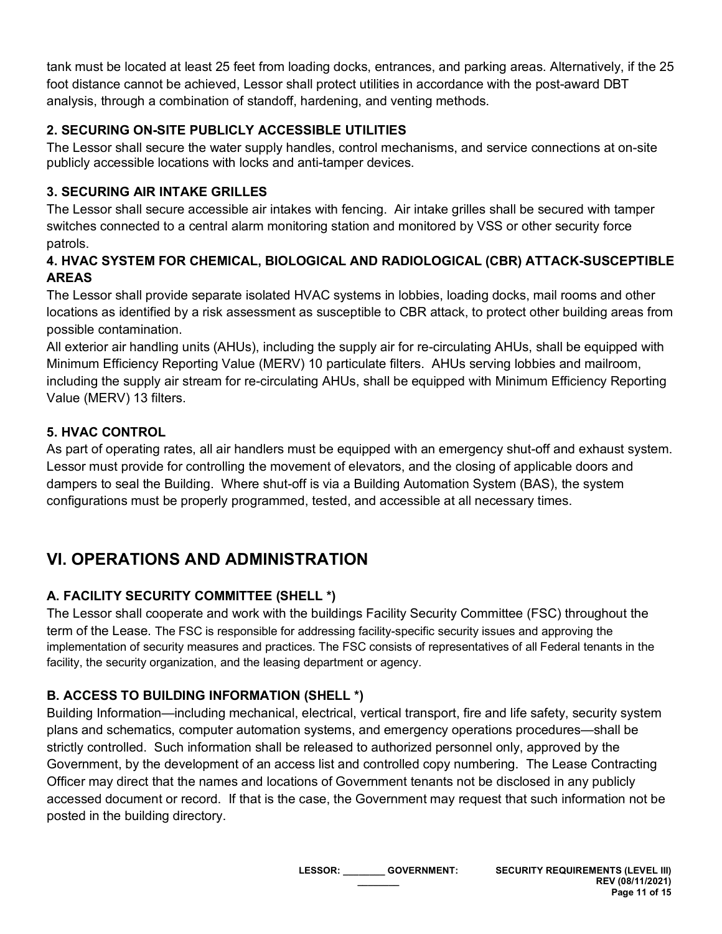tank must be located at least 25 feet from loading docks, entrances, and parking areas. Alternatively, if the 25 foot distance cannot be achieved, Lessor shall protect utilities in accordance with the post-award DBT analysis, through a combination of standoff, hardening, and venting methods.

## **2. SECURING ON-SITE PUBLICLY ACCESSIBLE UTILITIES**

The Lessor shall secure the water supply handles, control mechanisms, and service connections at on-site publicly accessible locations with locks and anti-tamper devices.

## **3. SECURING AIR INTAKE GRILLES**

The Lessor shall secure accessible air intakes with fencing. Air intake grilles shall be secured with tamper switches connected to a central alarm monitoring station and monitored by VSS or other security force patrols.

## **4. HVAC SYSTEM FOR CHEMICAL, BIOLOGICAL AND RADIOLOGICAL (CBR) ATTACK-SUSCEPTIBLE AREAS**

The Lessor shall provide separate isolated HVAC systems in lobbies, loading docks, mail rooms and other locations as identified by a risk assessment as susceptible to CBR attack, to protect other building areas from possible contamination.

All exterior air handling units (AHUs), including the supply air for re-circulating AHUs, shall be equipped with Minimum Efficiency Reporting Value (MERV) 10 particulate filters. AHUs serving lobbies and mailroom, including the supply air stream for re-circulating AHUs, shall be equipped with Minimum Efficiency Reporting Value (MERV) 13 filters.

## **5. HVAC CONTROL**

As part of operating rates, all air handlers must be equipped with an emergency shut-off and exhaust system. Lessor must provide for controlling the movement of elevators, and the closing of applicable doors and dampers to seal the Building. Where shut-off is via a Building Automation System (BAS), the system configurations must be properly programmed, tested, and accessible at all necessary times.

# **VI. OPERATIONS AND ADMINISTRATION**

# **A. FACILITY SECURITY COMMITTEE (SHELL \*)**

The Lessor shall cooperate and work with the buildings Facility Security Committee (FSC) throughout the term of the Lease. The FSC is responsible for addressing facility-specific security issues and approving the implementation of security measures and practices. The FSC consists of representatives of all Federal tenants in the facility, the security organization, and the leasing department or agency.

# **B. ACCESS TO BUILDING INFORMATION (SHELL \*)**

Building Information—including mechanical, electrical, vertical transport, fire and life safety, security system plans and schematics, computer automation systems, and emergency operations procedures—shall be strictly controlled. Such information shall be released to authorized personnel only, approved by the Government, by the development of an access list and controlled copy numbering. The Lease Contracting Officer may direct that the names and locations of Government tenants not be disclosed in any publicly accessed document or record. If that is the case, the Government may request that such information not be posted in the building directory.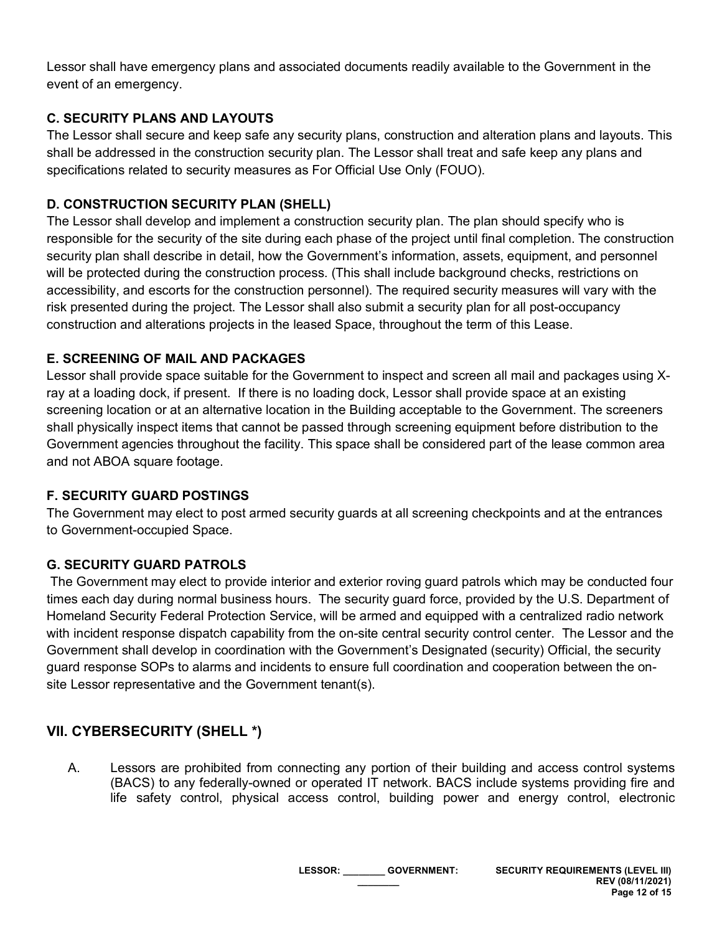Lessor shall have emergency plans and associated documents readily available to the Government in the event of an emergency.

## **C. SECURITY PLANS AND LAYOUTS**

The Lessor shall secure and keep safe any security plans, construction and alteration plans and layouts. This shall be addressed in the construction security plan. The Lessor shall treat and safe keep any plans and specifications related to security measures as For Official Use Only (FOUO).

## **D. CONSTRUCTION SECURITY PLAN (SHELL)**

The Lessor shall develop and implement a construction security plan. The plan should specify who is responsible for the security of the site during each phase of the project until final completion. The construction security plan shall describe in detail, how the Government's information, assets, equipment, and personnel will be protected during the construction process. (This shall include background checks, restrictions on accessibility, and escorts for the construction personnel). The required security measures will vary with the risk presented during the project. The Lessor shall also submit a security plan for all post-occupancy construction and alterations projects in the leased Space, throughout the term of this Lease.

### **E. SCREENING OF MAIL AND PACKAGES**

Lessor shall provide space suitable for the Government to inspect and screen all mail and packages using Xray at a loading dock, if present. If there is no loading dock, Lessor shall provide space at an existing screening location or at an alternative location in the Building acceptable to the Government. The screeners shall physically inspect items that cannot be passed through screening equipment before distribution to the Government agencies throughout the facility. This space shall be considered part of the lease common area and not ABOA square footage.

### **F. SECURITY GUARD POSTINGS**

The Government may elect to post armed security guards at all screening checkpoints and at the entrances to Government-occupied Space.

### **G. SECURITY GUARD PATROLS**

The Government may elect to provide interior and exterior roving guard patrols which may be conducted four times each day during normal business hours. The security guard force, provided by the U.S. Department of Homeland Security Federal Protection Service, will be armed and equipped with a centralized radio network with incident response dispatch capability from the on-site central security control center. The Lessor and the Government shall develop in coordination with the Government's Designated (security) Official, the security guard response SOPs to alarms and incidents to ensure full coordination and cooperation between the onsite Lessor representative and the Government tenant(s).

## **VII. CYBERSECURITY (SHELL \*)**

A. Lessors are prohibited from connecting any portion of their building and access control systems (BACS) to any federally-owned or operated IT network. BACS include systems providing fire and life safety control, physical access control, building power and energy control, electronic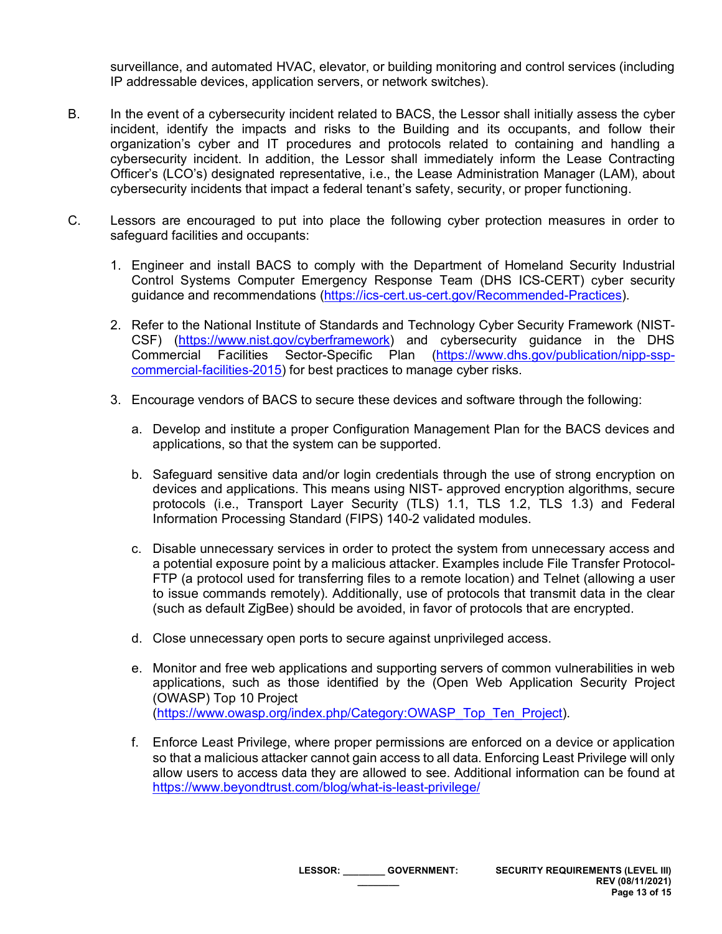surveillance, and automated HVAC, elevator, or building monitoring and control services (including IP addressable devices, application servers, or network switches).

- B. In the event of a cybersecurity incident related to BACS, the Lessor shall initially assess the cyber incident, identify the impacts and risks to the Building and its occupants, and follow their organization's cyber and IT procedures and protocols related to containing and handling a cybersecurity incident. In addition, the Lessor shall immediately inform the Lease Contracting Officer's (LCO's) designated representative, i.e., the Lease Administration Manager (LAM), about cybersecurity incidents that impact a federal tenant's safety, security, or proper functioning.
- C. Lessors are encouraged to put into place the following cyber protection measures in order to safeguard facilities and occupants:
	- 1. Engineer and install BACS to comply with the Department of Homeland Security Industrial Control Systems Computer Emergency Response Team (DHS ICS-CERT) cyber security guidance and recommendations [\(https://ics-cert.us-cert.gov/Recommended-Practices\)](https://ics-cert.us-cert.gov/Recommended-Practices).
	- 2. Refer to the National Institute of Standards and Technology Cyber Security Framework (NIST-CSF) [\(https://www.nist.gov/cyberframework\)](https://www.nist.gov/cyberframework) and cybersecurity guidance in the DHS Commercial Facilities Sector-Specific Plan [\(https://www.dhs.gov/publication/nipp-ssp](https://www.dhs.gov/publication/nipp-ssp-commercial-facilities-2015)[commercial-facilities-2015\)](https://www.dhs.gov/publication/nipp-ssp-commercial-facilities-2015) for best practices to manage cyber risks.
	- 3. Encourage vendors of BACS to secure these devices and software through the following:
		- a. Develop and institute a proper Configuration Management Plan for the BACS devices and applications, so that the system can be supported.
		- b. Safeguard sensitive data and/or login credentials through the use of strong encryption on devices and applications. This means using NIST- approved encryption algorithms, secure protocols (i.e., Transport Layer Security (TLS) 1.1, TLS 1.2, TLS 1.3) and Federal Information Processing Standard (FIPS) 140-2 validated modules.
		- c. Disable unnecessary services in order to protect the system from unnecessary access and a potential exposure point by a malicious attacker. Examples include File Transfer Protocol-FTP (a protocol used for transferring files to a remote location) and Telnet (allowing a user to issue commands remotely). Additionally, use of protocols that transmit data in the clear (such as default ZigBee) should be avoided, in favor of protocols that are encrypted.
		- d. Close unnecessary open ports to secure against unprivileged access.
		- e. Monitor and free web applications and supporting servers of common vulnerabilities in web applications, such as those identified by the (Open Web Application Security Project (OWASP) Top 10 Project [\(https://www.owasp.org/index.php/Category:OWASP\\_Top\\_Ten\\_Project\)](https://www.owasp.org/index.php/Category:OWASP_Top_Ten_Project).
		- f. Enforce Least Privilege, where proper permissions are enforced on a device or application so that a malicious attacker cannot gain access to all data. Enforcing Least Privilege will only allow users to access data they are allowed to see. Additional information can be found at <https://www.beyondtrust.com/blog/what-is-least-privilege/>